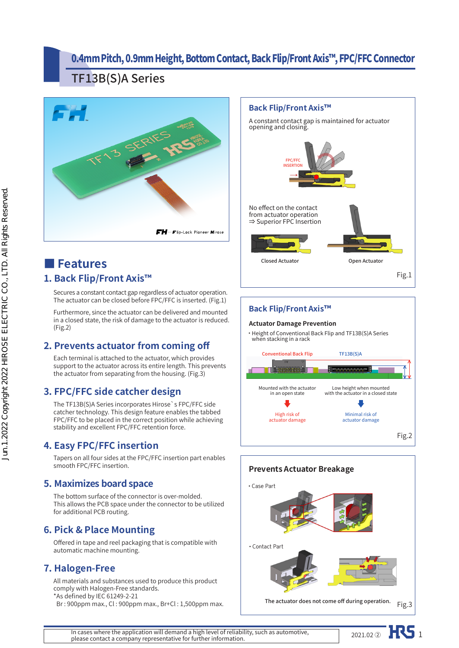## 0.4mm Pitch, 0.9mm Height, Bottom Contact, Back Flip/Front Axis™, FPC/FFC Connector

## TF13B(S)A Series



# **■ Features**

## **1. Back Flip/Front Axis™**

Secures a constant contact gap regardless of actuator operation. The actuator can be closed before FPC/FFC is inserted. (Fig.1)

Furthermore, since the actuator can be delivered and mounted in a closed state, the risk of damage to the actuator is reduced. (Fig.2)

### **2. Prevents actuator from coming off**

Each terminal is attached to the actuator, which provides support to the actuator across its entire length. This prevents the actuator from separating from the housing. (Fig.3)

### **3. FPC/FFC side catcher design**

The TF13B(S)A Series incorporates Hirose`s FPC/FFC side catcher technology. This design feature enables the tabbed FPC/FFC to be placed in the correct position while achieving stability and excellent FPC/FFC retention force.

### **4. Easy FPC/FFC insertion**

Tapers on all four sides at the FPC/FFC insertion part enables smooth FPC/FFC insertion.

### **5. Maximizes board space**

The bottom surface of the connector is over-molded. This allows the PCB space under the connector to be utilized for additional PCB routing.

### **6. Pick & Place Mounting**

Offered in tape and reel packaging that is compatible with automatic machine mounting.

### **7. Halogen-Free**

All materials and substances used to produce this product comply with Halogen-Free standards. \*As defined by IEC 61249-2-21

Br : 900ppm max., Cl : 900ppm max., Br+Cl : 1,500ppm max.



### **Back Flip/Front Axis™**

### **Actuator Damage Prevention**

•Height of Conventional Back Flip and TF13B(S)A Series when stacking in a rack





In cases where the application will demand a high level of reliability, such as automotive,<br>please contact a company representative for further information.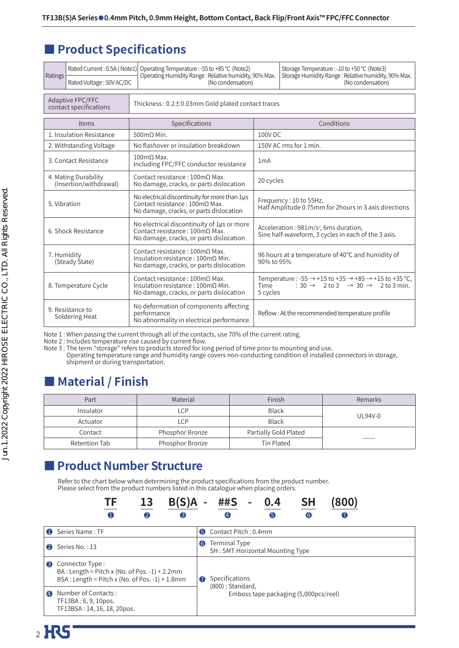## **■ Product Specifications**

| Ratings                                        |                          | Rated Current: 0.5A (Note1) Operating Temperature: -55 to +85 °C (Note2)<br>Operating Humidity Range: Relative humidity, 90% Max.         |                                                                                  | Storage Temperature: -10 to +50 °C (Note3)<br>Storage Humidity Range: Relative humidity, 90% Max.                                                              |  |  |  |
|------------------------------------------------|--------------------------|-------------------------------------------------------------------------------------------------------------------------------------------|----------------------------------------------------------------------------------|----------------------------------------------------------------------------------------------------------------------------------------------------------------|--|--|--|
| Rated Voltage: 50V AC/DC                       |                          |                                                                                                                                           | (No condensation)                                                                |                                                                                                                                                                |  |  |  |
| Adaptive FPC/FFC<br>contact specifications     |                          |                                                                                                                                           | Thickness: $0.2 \pm 0.03$ mm Gold plated contact traces                          |                                                                                                                                                                |  |  |  |
|                                                | Items                    | Specifications                                                                                                                            | Conditions                                                                       |                                                                                                                                                                |  |  |  |
|                                                | 1. Insulation Resistance | $500 \text{m}$ $\Omega$ Min.                                                                                                              | 100V DC                                                                          |                                                                                                                                                                |  |  |  |
|                                                | 2. Withstanding Voltage  | No flashover or insulation breakdown                                                                                                      |                                                                                  | 150V AC rms for 1 min.                                                                                                                                         |  |  |  |
|                                                | 3. Contact Resistance    | $100 \text{m}$ $\Omega$ Max.<br>Including FPC/FFC conductor resistance                                                                    | 1 <sub>m</sub> A                                                                 |                                                                                                                                                                |  |  |  |
| 4. Mating Durability<br>(Insertion/withdrawal) |                          | Contact resistance: $100 \text{m}\Omega$ Max.<br>No damage, cracks, or parts dislocation                                                  | 20 cycles                                                                        |                                                                                                                                                                |  |  |  |
| 5. Vibration                                   |                          | No electrical discontinuity for more than 1us<br>Contact resistance: $100 \text{m}\Omega$ Max.<br>No damage, cracks, or parts dislocation | Frequency: 10 to 55Hz,<br>Half Amplitude 0.75mm for 2 hours in 3 axis directions |                                                                                                                                                                |  |  |  |
| 6. Shock Resistance                            |                          | No electrical discontinuity of 1us or more<br>Contact resistance : 100mΩ Max.<br>No damage, cracks, or parts dislocation                  |                                                                                  | Acceleration: 981m/s <sup>2</sup> , 6ms duration,<br>Sine half-waveform, 3 cycles in each of the 3 axis.                                                       |  |  |  |
| 7. Humidity<br>(Steady State)                  |                          | Contact resistance: $100 \text{m}\Omega$ Max.<br>Insulation resistance: $100 \text{mA}$ Min.<br>No damage, cracks, or parts dislocation   | 90% to 95%                                                                       | 96 hours at a temperature of 40°C and humidity of                                                                                                              |  |  |  |
| 8. Temperature Cycle                           |                          | Contact resistance: $100 \text{m}\Omega$ Max.<br>Insulation resistance: $100 \text{mA}$ Min.<br>No damage, cracks, or parts dislocation   | Time<br>5 cycles                                                                 | Temperature: $-55 \rightarrow +15$ to $+35 \rightarrow +85 \rightarrow +15$ to $+35$ °C,<br>$: 30 \rightarrow 2$ to $3 \rightarrow 30 \rightarrow 2$ to 3 min. |  |  |  |
| 9. Resistance to<br>Soldering Heat             |                          | No deformation of components affecting<br>performance<br>No abnormality in electrical performance                                         |                                                                                  | Reflow: At the recommended temperature profile                                                                                                                 |  |  |  |

Note 1 : When passing the current through all of the contacts, use 70% of the current rating.

Note 2 : Includes temperature rise caused by current flow.

Note 3 : The term "storage" refers to products stored for long period of time prior to mounting and use. Operating temperature range and humidity range covers non-conducting condition of installed connectors in storage,

#### shipment or during transportation.

## **■ Material / Finish**

| Part          | Material        | Finish                | Remarks |  |
|---------------|-----------------|-----------------------|---------|--|
| Insulator     | LCP             | <b>Black</b>          | UL94V-0 |  |
| Actuator      | LCP             | <b>Black</b>          |         |  |
| Contact       | Phosphor Bronze | Partially Gold Plated |         |  |
| Retention Tab | Phosphor Bronze | Tin Plated            | ------  |  |

## **■ Product Number Structure**

Refer to the chart below when determining the product specifications from the product number. Please select from the product numbers listed in this catalogue when placing orders.

|                | 13<br>B(S)A<br>╟┢                                                                                                          |                                                                                          | ##S                                               | 0.4 | SΗ | 800) |  |
|----------------|----------------------------------------------------------------------------------------------------------------------------|------------------------------------------------------------------------------------------|---------------------------------------------------|-----|----|------|--|
|                | $\bf{O}$<br>$\mathbf{Q}$<br>3                                                                                              |                                                                                          |                                                   | 6   | 6. |      |  |
| $\bullet$      | Series Name: TF                                                                                                            |                                                                                          | <b>6</b> Contact Pitch: 0.4mm                     |     |    |      |  |
| 2              | Series No.: 13                                                                                                             | $\bullet$                                                                                | Terminal Type<br>SH: SMT Horizontal Mounting Type |     |    |      |  |
| 3              | Connector Type:<br>BA : Length = Pitch x (No. of Pos. $-1$ ) + 2.2mm<br>BSA : Length = Pitch x (No. of Pos. $-1$ ) + 1.8mm | Specifications<br>$\bullet$<br>(800): Standard,<br>Emboss tape packaging (5,000pcs/reel) |                                                   |     |    |      |  |
| $\overline{A}$ | Number of Contacts:<br>TF13BA: 6, 9, 10pos.<br>TF13BSA: 14, 16, 18, 20pos.                                                 |                                                                                          |                                                   |     |    |      |  |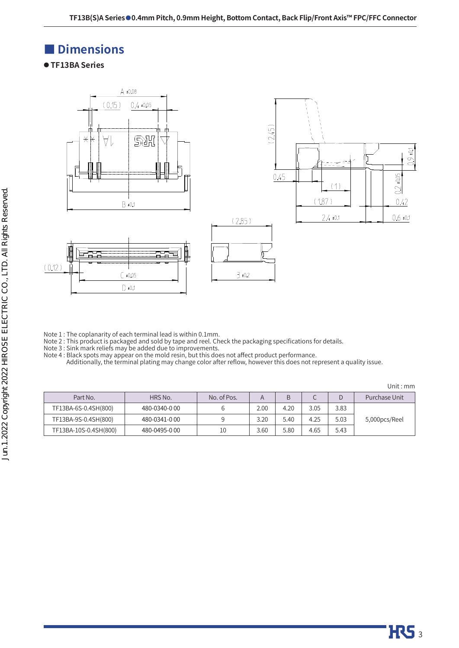## **■ Dimensions**

**● TF13BA Series**



Note 1 : The coplanarity of each terminal lead is within 0.1mm.

Note 2 : This product is packaged and sold by tape and reel. Check the packaging specifications for details.

Note 3 : Sink mark reliefs may be added due to improvements.

Note 4 : Black spots may appear on the mold resin, but this does not affect product performance.

Additionally, the terminal plating may change color after reflow, however this does not represent a quality issue.

|                       |              |             |                   |      |      |      | Unit : mn     |
|-----------------------|--------------|-------------|-------------------|------|------|------|---------------|
| Part No.              | HRS No.      | No. of Pos. |                   |      | ◡    | D    | Purchase Unit |
| TF13BA-6S-0.4SH(800)  | 480-0340-000 |             | 2.00 <sub>1</sub> | 4.20 | 3.05 | 3.83 |               |
| TF13BA-9S-0.4SH(800)  | 480-0341-000 |             | 3.20              | 5.40 | 4.25 | 5.03 | 5,000pcs/Reel |
| TF13BA-10S-0.4SH(800) | 480-0495-000 | 10          | 3.60              | 5.80 | 4.65 | 5.43 |               |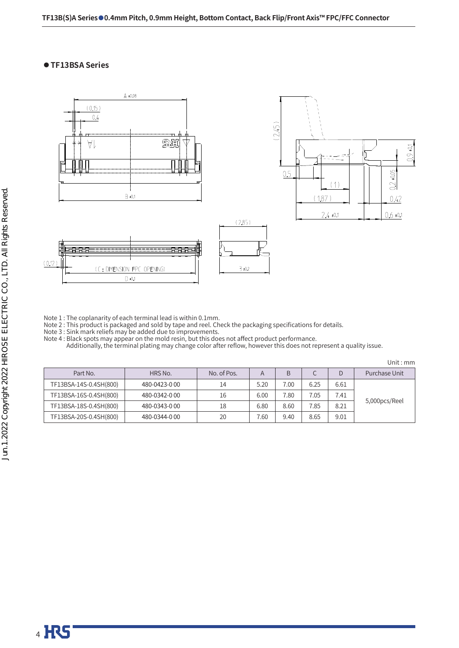### **● TF13BSA Series**



Note  $1$  : The coplanarity of each terminal lead is within  $0.1$ mm.

Note 2 : This product is packaged and sold by tape and reel. Check the packaging specifications for details.

Note 3 : Sink mark reliefs may be added due to improvements.

Note 4 : Black spots may appear on the mold resin, but this does not affect product performance.

Additionally, the terminal plating may change color after reflow, however this does not represent a quality issue.

Unit : mm

| Part No.               | HRS No.       | No. of Pos. | A    | B    |      |      | Purchase Unit |
|------------------------|---------------|-------------|------|------|------|------|---------------|
| TF13BSA-14S-0.4SH(800) | 480-0423-000  | 14          | 5.20 | 7.00 | 6.25 | 6.61 |               |
| TF13BSA-16S-0.4SH(800) | 480-0342-0.00 | 16          | 6.00 | 7.80 | 7.05 | 7.41 |               |
| TF13BSA-18S-0.4SH(800) | 480-0343-000  | 18          | 6.80 | 8.60 | 7.85 | 8.21 | 5,000pcs/Reel |
| TF13BSA-20S-0.4SH(800) | 480-0344-000  | 20          | 7.60 | 9.40 | 8.65 | 9.01 |               |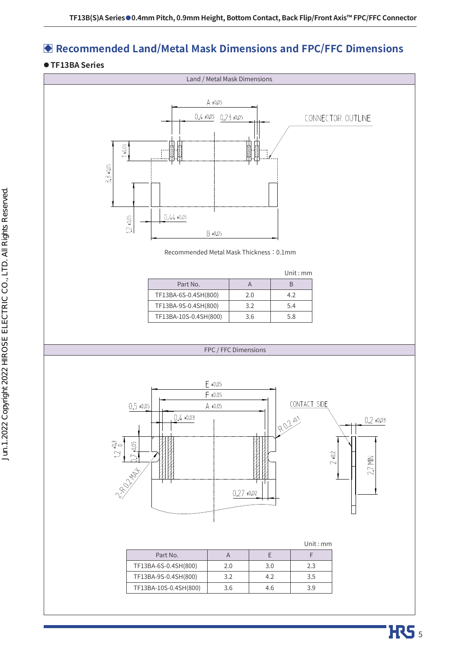## **Recommended Land/Metal Mask Dimensions and FPC/FFC Dimensions**

### **● TF13BA Series**

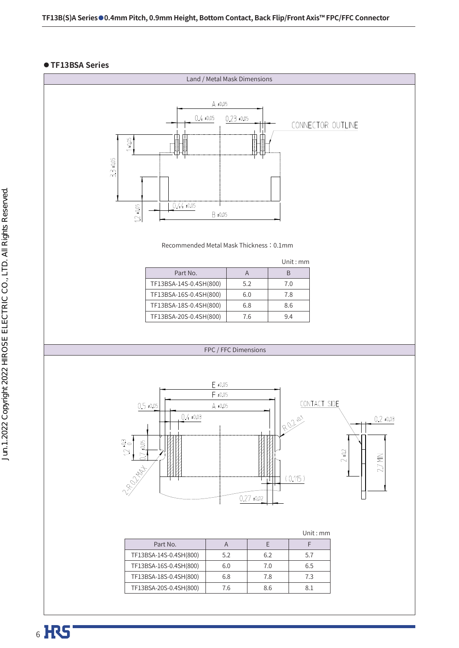### **● TF13BSA Series**

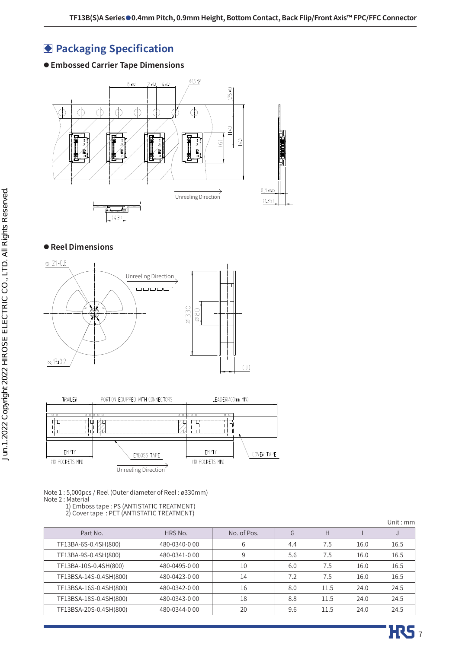## **Packaging Specification**

### **● Embossed Carrier Tape Dimensions**



### **● Reel Dimensions**





Note 1 : 5,000pcs / Reel (Outer diameter of Reel : ø330mm)

Note 2 : Material

1) Emboss tape : PS (ANTISTATIC TREATMENT)

2) Cover tape : PET (ANTISTATIC TREATMENT)

|                        |              |             |     |      |      | Unit : $mm$ |
|------------------------|--------------|-------------|-----|------|------|-------------|
| Part No.               | HRS No.      | No. of Pos. | G   | Н    |      |             |
| TF13BA-6S-0.4SH(800)   | 480-0340-000 | 6           | 4.4 | 7.5  | 16.0 | 16.5        |
| TF13BA-9S-0.4SH(800)   | 480-0341-000 | 9           | 5.6 | 7.5  | 16.0 | 16.5        |
| TF13BA-10S-0.4SH(800)  | 480-0495-000 | 10          | 6.0 | 7.5  | 16.0 | 16.5        |
| TF13BSA-14S-0.4SH(800) | 480-0423-000 | 14          | 7.2 | 7.5  | 16.0 | 16.5        |
| TF13BSA-16S-0.4SH(800) | 480-0342-000 | 16          | 8.0 | 11.5 | 24.0 | 24.5        |
| TF13BSA-18S-0.4SH(800) | 480-0343-000 | 18          | 8.8 | 11.5 | 24.0 | 24.5        |
| TF13BSA-20S-0.4SH(800) | 480-0344-000 | 20          | 9.6 | 11.5 | 24.0 | 24.5        |
|                        |              |             |     |      |      |             |

**HRS**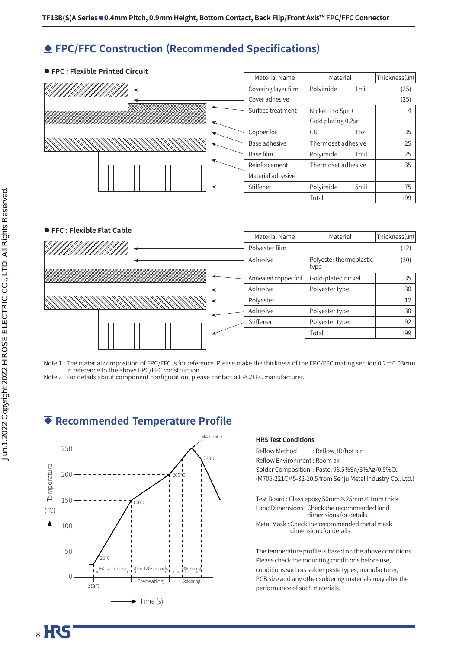### **FPC/FFC Construction (Recommended Specifications)**

### **● FPC : Flexible Printed Circuit** Material Name Material Thickness(um) Covering layer film Polyimide 1mil (25) Cover adhesive (25) **xxxxxxxxxxxxxxxx** Surface treatment  $\vert$  Nickel 1 to 5µm + 4 Gold plating 0.2㎛ Copper foil  $\begin{array}{ccc} \text{C} \cup \end{array}$  1oz  $\begin{array}{ccc} \text{1} & \text{35} \\ \text{2} & \text{37} \end{array}$ Base adhesive  $\overline{\phantom{a}}$  Thermoset adhesive  $\overline{\phantom{a}}$  25 Base film Polyimide 1mil 25 Reinforcement Thermoset adhesive 35 Material adhesive Stiffener | Polyimide 5mil | 75 Total 199



Note 1 : The material composition of FPC/FFC is for reference. Please make the thickness of the FPC/FFC mating section 0.2±0.03mm in reference to the above FPC/FFC construction.

Note 2 : For details about component configuration, please contact a FPC/FFC manufacturer.

### **Recommended Temperature Profile**



### **HRS Test Conditions**

Reflow Method : Reflow, IR/hot air Reflow Environment : Room air Solder Composition : Paste, 96.5%Sn/3%Ag/0.5%Cu (M705-221CM5-32-10.5 from Senju Metal Industry Co., Ltd.)

Test Board : Glass epoxy 50mm×25mm×1mm thick Land Dimensions : Check the recommended land dimensions for details. Metal Mask : Check the recommended metal mask dimensions for details.

The temperature profile is based on the above conditions. Please check the mounting conditions before use, conditions such as solder paste types, manufacturer, PCB size and any other soldering materials may alter the performance of such materials.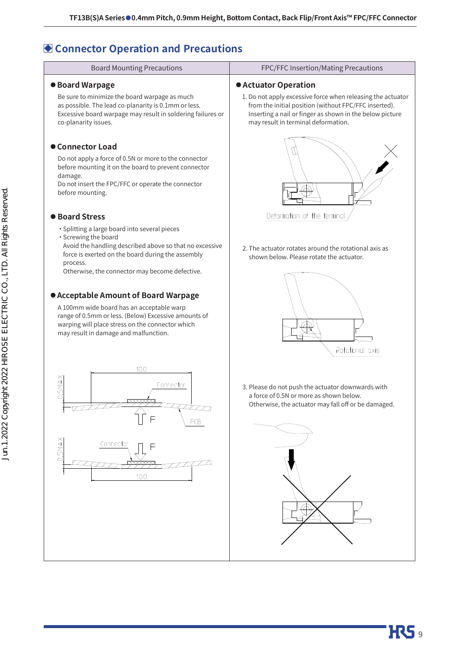## **Connector Operation and Precautions**

| <b>Board Mounting Precautions</b>                                                                                                                                                                                                                                                                                                                                                                                                                                                                                                                                                                          | FPC/FFC Insertion/Mating Precautions                                                                                                                                                                                                                                                                       |
|------------------------------------------------------------------------------------------------------------------------------------------------------------------------------------------------------------------------------------------------------------------------------------------------------------------------------------------------------------------------------------------------------------------------------------------------------------------------------------------------------------------------------------------------------------------------------------------------------------|------------------------------------------------------------------------------------------------------------------------------------------------------------------------------------------------------------------------------------------------------------------------------------------------------------|
| <b>• Board Warpage</b><br>Be sure to minimize the board warpage as much<br>as possible. The lead co-planarity is 0.1mm or less.<br>Excessive board warpage may result in soldering failures or<br>co-planarity issues.                                                                                                                                                                                                                                                                                                                                                                                     | <b>• Actuator Operation</b><br>1. Do not apply excessive force when releasing the actuator<br>from the initial position (without FPC/FFC inserted).<br>Inserting a nail or finger as shown in the below picture<br>may result in terminal deformation.                                                     |
| <b>Connector Load</b><br>Do not apply a force of 0.5N or more to the connector<br>before mounting it on the board to prevent connector<br>damage.<br>Do not insert the FPC/FFC or operate the connector<br>before mounting.                                                                                                                                                                                                                                                                                                                                                                                |                                                                                                                                                                                                                                                                                                            |
| <b>• Board Stress</b><br>· Splitting a large board into several pieces<br>· Screwing the board<br>Avoid the handling described above so that no excessive<br>force is exerted on the board during the assembly<br>process.<br>Otherwise, the connector may become defective.<br><b>• Acceptable Amount of Board Warpage</b><br>A 100mm wide board has an acceptable warp<br>range of 0.5mm or less. (Below) Excessive amounts of<br>warping will place stress on the connector which<br>may result in damage and malfunction.<br>100<br><b>SMAX</b><br>Connector<br>Õ<br>PCB<br>0.5MAX<br>Connector<br>100 | Deformation of the terminal<br>2. The actuator rotates around the rotational axis as<br>shown below. Please rotate the actuator.<br>Rotational axis<br>3. Please do not push the actuator downwards with<br>a force of 0.5N or more as shown below.<br>Otherwise, the actuator may fall off or be damaged. |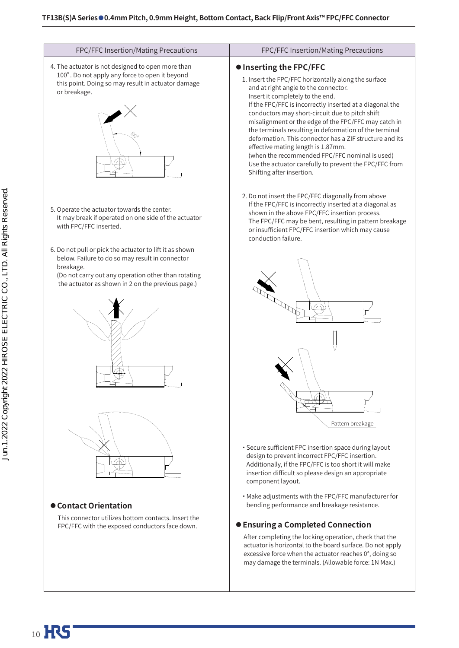| FPC/FFC Insertion/Mating Precautions                                                                                                                                                                                                | FPC/FFC Insertion/Mating Precautions                                                                                                                                                                                                                                                                                                                                                                                                                                                                                                                                                                                                          |
|-------------------------------------------------------------------------------------------------------------------------------------------------------------------------------------------------------------------------------------|-----------------------------------------------------------------------------------------------------------------------------------------------------------------------------------------------------------------------------------------------------------------------------------------------------------------------------------------------------------------------------------------------------------------------------------------------------------------------------------------------------------------------------------------------------------------------------------------------------------------------------------------------|
| 4. The actuator is not designed to open more than<br>100°. Do not apply any force to open it beyond<br>this point. Doing so may result in actuator damage<br>or breakage.                                                           | <b>• Inserting the FPC/FFC</b><br>1. Insert the FPC/FFC horizontally along the surface<br>and at right angle to the connector.<br>Insert it completely to the end.<br>If the FPC/FFC is incorrectly inserted at a diagonal the<br>conductors may short-circuit due to pitch shift<br>misalignment or the edge of the FPC/FFC may catch in<br>the terminals resulting in deformation of the terminal<br>deformation. This connector has a ZIF structure and its<br>effective mating length is 1.87mm.<br>(when the recommended FPC/FFC nominal is used)<br>Use the actuator carefully to prevent the FPC/FFC from<br>Shifting after insertion. |
| 5. Operate the actuator towards the center.<br>It may break if operated on one side of the actuator<br>with FPC/FFC inserted.                                                                                                       | 2. Do not insert the FPC/FFC diagonally from above<br>If the FPC/FFC is incorrectly inserted at a diagonal as<br>shown in the above FPC/FFC insertion process.<br>The FPC/FFC may be bent, resulting in pattern breakage<br>or insufficient FPC/FFC insertion which may cause<br>conduction failure.                                                                                                                                                                                                                                                                                                                                          |
| 6. Do not pull or pick the actuator to lift it as shown<br>below. Failure to do so may result in connector<br>breakage.<br>(Do not carry out any operation other than rotating<br>the actuator as shown in 2 on the previous page.) | Pattern breakage                                                                                                                                                                                                                                                                                                                                                                                                                                                                                                                                                                                                                              |
| ● Contact Orientation<br>This connector utilizes bottom contacts. Insert the<br>FPC/FFC with the exposed conductors face down.                                                                                                      | · Secure sufficient FPC insertion space during layout<br>design to prevent incorrect FPC/FFC insertion.<br>Additionally, if the FPC/FFC is too short it will make<br>insertion difficult so please design an appropriate<br>component layout.<br>• Make adjustments with the FPC/FFC manufacturer for<br>bending performance and breakage resistance.<br><b>Ensuring a Completed Connection</b><br>After completing the locking operation, check that the<br>actuator is horizontal to the board surface. Do not apply<br>excessive force when the actuator reaches 0°, doing so<br>may damage the terminals. (Allowable force: 1N Max.)      |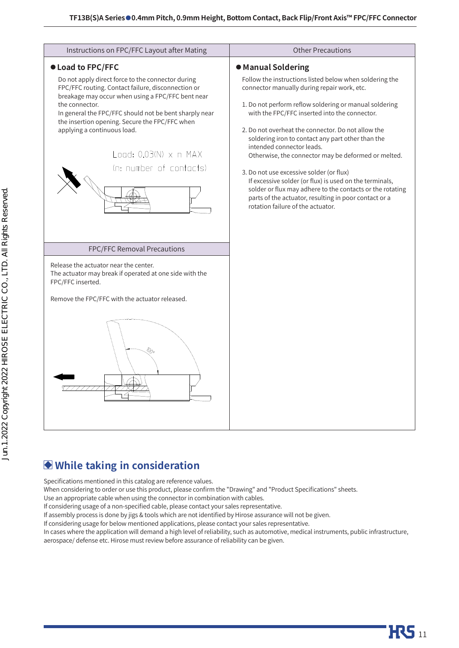

## **While taking in consideration**

Specifications mentioned in this catalog are reference values.

When considering to order or use this product, please confirm the "Drawing" and "Product Specifications" sheets.

Use an appropriate cable when using the connector in combination with cables.

If considering usage of a non-specified cable, please contact your sales representative.

If assembly process is done by jigs & tools which are not identified by Hirose assurance will not be given.

If considering usage for below mentioned applications, please contact your sales representative.

In cases where the application will demand a high level of reliability, such as automotive, medical instruments, public infrastructure, aerospace/ defense etc. Hirose must review before assurance of reliability can be given.

**HRS** 11